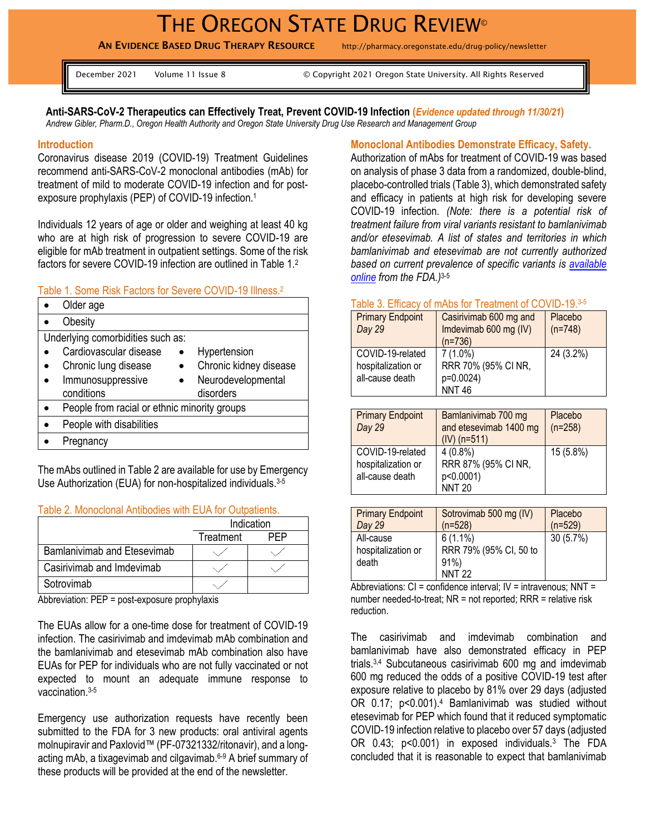# THE OREGON STATE DRUG REVIEW<sup>®</sup>

AN EVIDENCE BASED DRUG THERAPY RESOURCE http://pharmacy.oregonstate.edu/drug-policy/newsletter

| December 2021 |  | Volume 11 Issue 8 |  |  |  |
|---------------|--|-------------------|--|--|--|
|               |  |                   |  |  |  |

© Copyright 2021 Oregon State University. All Rights Reserved

**Anti-SARS-CoV-2 Therapeutics can Effectively Treat, Prevent COVID-19 Infection (***Evidence updated through 11/30/21***)** *Andrew Gibler, Pharm.D., Oregon Health Authority and Oregon State University Drug Use Research and Management Group*

#### **Introduction**

Coronavirus disease 2019 (COVID-19) Treatment Guidelines recommend anti-SARS-CoV-2 monoclonal antibodies (mAb) for treatment of mild to moderate COVID-19 infection and for postexposure prophylaxis (PEP) of COVID-19 infection. 1

Individuals 12 years of age or older and weighing at least 40 kg who are at high risk of progression to severe COVID-19 are eligible for mAb treatment in outpatient settings. Some of the risk factors for severe COVID-19 infection are outlined in Table 1.<sup>2</sup>

#### Table 1. Some Risk Factors for Severe COVID-19 Illness. 2

| Obesity<br>Underlying comorbidities such as:<br>Cardiovascular disease<br>Hypertension<br>Chronic kidney disease<br>Chronic lung disease |  |  |  |  |
|------------------------------------------------------------------------------------------------------------------------------------------|--|--|--|--|
|                                                                                                                                          |  |  |  |  |
|                                                                                                                                          |  |  |  |  |
|                                                                                                                                          |  |  |  |  |
|                                                                                                                                          |  |  |  |  |
| Immunosuppressive<br>Neurodevelopmental                                                                                                  |  |  |  |  |
| conditions<br>disorders                                                                                                                  |  |  |  |  |
| People from racial or ethnic minority groups                                                                                             |  |  |  |  |
| People with disabilities                                                                                                                 |  |  |  |  |
| Pregnancy                                                                                                                                |  |  |  |  |

The mAbs outlined in Table 2 are available for use by Emergency Use Authorization (EUA) for non-hospitalized individuals.<sup>3-5</sup>

#### Table 2. Monoclonal Antibodies with EUA for Outpatients.

|                                    | Indication |  |
|------------------------------------|------------|--|
|                                    | Treatment  |  |
| <b>Bamlanivimab and Etesevimab</b> |            |  |
| Casirivimab and Imdevimab          |            |  |
| Sotrovimab                         |            |  |

Abbreviation: PEP = post-exposure prophylaxis

The EUAs allow for a one-time dose for treatment of COVID-19 infection. The casirivimab and imdevimab mAb combination and the bamlanivimab and etesevimab mAb combination also have EUAs for PEP for individuals who are not fully vaccinated or not expected to mount an adequate immune response to vaccination. 3-5

Emergency use authorization requests have recently been submitted to the FDA for 3 new products: oral antiviral agents molnupiravir and Paxlovid™ (PF-07321332/ritonavir), and a longacting mAb, a tixagevimab and cilgavimab. 6-9 A brief summary of these products will be provided at the end of the newsletter.

#### **Monoclonal Antibodies Demonstrate Efficacy, Safety.**

Authorization of mAbs for treatment of COVID-19 was based on analysis of phase 3 data from a randomized, double-blind, placebo-controlled trials (Table 3), which demonstrated safety and efficacy in patients at high risk for developing severe COVID-19 infection. *(Note: there is a potential risk of treatment failure from viral variants resistant to bamlanivimab and/or etesevimab. A list of states and territories in which bamlanivimab and etesevimab are not currently authorized based on current prevalence of specific variants is [available](https://www.fda.gov/media/151719/download)  [online](https://www.fda.gov/media/151719/download) from the FDA.)* 3-5

## Table 3. Efficacy of mAbs for Treatment of COVID-19.3-5

| <b>Primary Endpoint</b><br>Day 29                         | Casirivimab 600 mg and<br>Imdevimab 600 mg (IV)<br>$(n=736)$   | Placebo<br>$(n=748)$ |
|-----------------------------------------------------------|----------------------------------------------------------------|----------------------|
| COVID-19-related<br>hospitalization or<br>all-cause death | $7(1.0\%)$<br>RRR 70% (95% CI NR,<br>p=0.0024)<br><b>NNT46</b> | 24 (3.2%)            |

| <b>Primary Endpoint</b><br>Day 29                         | Bamlanivimab 700 mg<br>and etesevimab 1400 mg<br>$(IV)$ (n=511) | Placebo<br>$(n=258)$ |
|-----------------------------------------------------------|-----------------------------------------------------------------|----------------------|
| COVID-19-related<br>hospitalization or<br>all-cause death | $4(0.8\%)$<br>RRR 87% (95% CI NR,<br>p<0.0001)<br><b>NNT 20</b> | 15 (5.8%)            |

| <b>Primary Endpoint</b>                  | Sotrovimab 500 mg (IV)                                          | Placebo   |
|------------------------------------------|-----------------------------------------------------------------|-----------|
| Day 29                                   | $(n=528)$                                                       | $(n=529)$ |
| All-cause<br>hospitalization or<br>death | $6(1.1\%)$<br>RRR 79% (95% CI, 50 to<br>$91\%$<br><b>NNT 22</b> | 30(5.7%)  |

Abbreviations:  $CI =$  confidence interval;  $IV =$  intravenous;  $NNT =$ number needed-to-treat; NR = not reported; RRR = relative risk reduction.

The casirivimab and imdevimab combination and bamlanivimab have also demonstrated efficacy in PEP trials. 3,4 Subcutaneous casirivimab 600 mg and imdevimab 600 mg reduced the odds of a positive COVID-19 test after exposure relative to placebo by 81% over 29 days (adjusted OR 0.17; p<0.001).<sup>4</sup> Bamlanivimab was studied without etesevimab for PEP which found that it reduced symptomatic COVID-19 infection relative to placebo over 57 days (adjusted OR 0.43; p<0.001) in exposed individuals.<sup>3</sup> The FDA concluded that it is reasonable to expect that bamlanivimab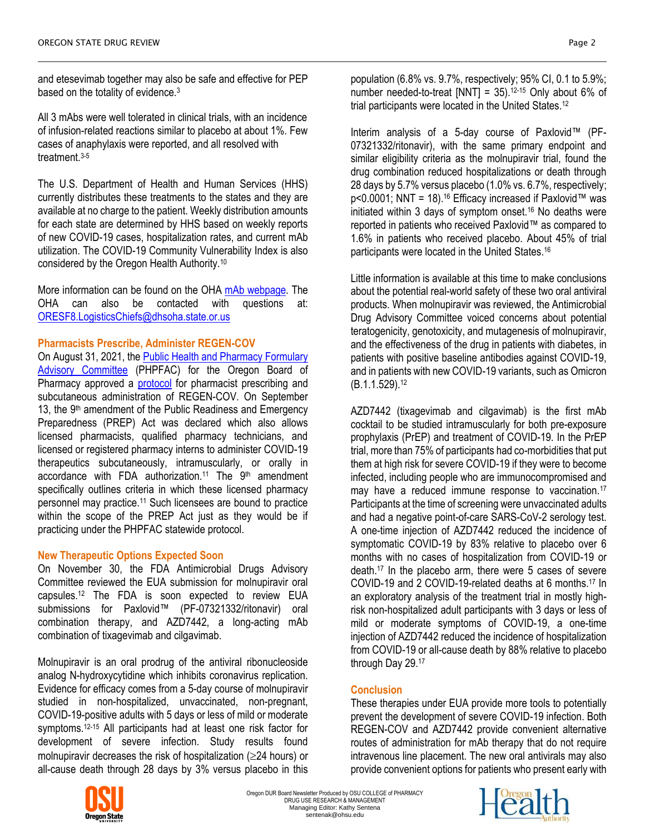and etesevimab together may also be safe and effective for PEP based on the totality of evidence.<sup>3</sup>

All 3 mAbs were well tolerated in clinical trials, with an incidence of infusion-related reactions similar to placebo at about 1%. Few cases of anaphylaxis were reported, and all resolved with treatment.3-5

The U.S. Department of Health and Human Services (HHS) currently distributes these treatments to the states and they are available at no charge to the patient. Weekly distribution amounts for each state are determined by HHS based on weekly reports of new COVID-19 cases, hospitalization rates, and current mAb utilization. The COVID-19 Community Vulnerability Index is also considered by the Oregon Health Authority.<sup>10</sup>

More information can be found on the OHA [mAb webpage.](https://www.oregon.gov/oha/covid19/Pages/monoclonal-antibody-therapy.aspx?utm_medium=email&utm_source=govdelivery) The OHA can also be contacted with questions at: [ORESF8.LogisticsChiefs@dhsoha.state.or.us](mailto:ORESF8.LogisticsChiefs@dhsoha.state.or.us)

## **Pharmacists Prescribe, Administer REGEN-COV**

On August 31, 2021, the [Public Health and Pharmacy](https://www.oregon.gov/pharmacy/Pages/PFAC.aspx) Formulary [Advisory Committee](https://www.oregon.gov/pharmacy/Pages/PFAC.aspx) (PHPFAC) for the Oregon Board of Pharmacy approved a [protocol](https://www.oregon.gov/pharmacy/Documents/COVID_mAb_Protocol.pdf) for pharmacist prescribing and subcutaneous administration of REGEN-COV. On September 13, the 9<sup>th</sup> amendment of the Public Readiness and Emergency Preparedness (PREP) Act was declared which also allows licensed pharmacists, qualified pharmacy technicians, and licensed or registered pharmacy interns to administer COVID-19 therapeutics subcutaneously, intramuscularly, or orally in accordance with FDA authorization.<sup>11</sup> The 9<sup>th</sup> amendment specifically outlines criteria in which these licensed pharmacy personnel may practice.<sup>11</sup> Such licensees are bound to practice within the scope of the PREP Act just as they would be if practicing under the PHPFAC statewide protocol.

#### **New Therapeutic Options Expected Soon**

On November 30, the FDA Antimicrobial Drugs Advisory Committee reviewed the EUA submission for molnupiravir oral capsules.<sup>12</sup> The FDA is soon expected to review EUA submissions for Paxlovid™ (PF-07321332/ritonavir) oral combination therapy, and AZD7442, a long-acting mAb combination of tixagevimab and cilgavimab.

Molnupiravir is an oral prodrug of the antiviral ribonucleoside analog N-hydroxycytidine which inhibits coronavirus replication. Evidence for efficacy comes from a 5-day course of molnupiravir studied in non-hospitalized, unvaccinated, non-pregnant, COVID-19-positive adults with 5 days or less of mild or moderate symptoms.<sup>12-15</sup> All participants had at least one risk factor for development of severe infection. Study results found molnupiravir decreases the risk of hospitalization ( $\geq$ 24 hours) or all-cause death through 28 days by 3% versus placebo in this population (6.8% vs. 9.7%, respectively; 95% CI, 0.1 to 5.9%; number needed-to-treat [NNT] = 35). 12-15 Only about 6% of trial participants were located in the United States.<sup>12</sup>

Interim analysis of a 5-day course of Paxlovid™ (PF-07321332/ritonavir), with the same primary endpoint and similar eligibility criteria as the molnupiravir trial, found the drug combination reduced hospitalizations or death through 28 days by 5.7% versus placebo (1.0% vs. 6.7%, respectively; p<0.0001; NNT = 18).<sup>16</sup> Efficacy increased if Paxlovid™ was initiated within 3 days of symptom onset.<sup>16</sup> No deaths were reported in patients who received Paxlovid™ as compared to 1.6% in patients who received placebo. About 45% of trial participants were located in the United States. 16

Little information is available at this time to make conclusions about the potential real-world safety of these two oral antiviral products. When molnupiravir was reviewed, the Antimicrobial Drug Advisory Committee voiced concerns about potential teratogenicity, genotoxicity, and mutagenesis of molnupiravir, and the effectiveness of the drug in patients with diabetes, in patients with positive baseline antibodies against COVID-19, and in patients with new COVID-19 variants, such as Omicron (B.1.1.529). 12

AZD7442 (tixagevimab and cilgavimab) is the first mAb cocktail to be studied intramuscularly for both pre-exposure prophylaxis (PrEP) and treatment of COVID-19. In the PrEP trial, more than 75% of participants had co-morbidities that put them at high risk for severe COVID-19 if they were to become infected, including people who are immunocompromised and may have a reduced immune response to vaccination.<sup>17</sup> Participants at the time of screening were unvaccinated adults and had a negative point-of-care SARS-CoV-2 serology test. A one-time injection of AZD7442 reduced the incidence of symptomatic COVID-19 by 83% relative to placebo over 6 months with no cases of hospitalization from COVID-19 or death. 17 In the placebo arm, there were 5 cases of severe COVID-19 and 2 COVID-19-related deaths at 6 months. <sup>17</sup> In an exploratory analysis of the treatment trial in mostly highrisk non-hospitalized adult participants with 3 days or less of mild or moderate symptoms of COVID-19, a one-time injection of AZD7442 reduced the incidence of hospitalization from COVID-19 or all-cause death by 88% relative to placebo through Day 29.17

# **Conclusion**

These therapies under EUA provide more tools to potentially prevent the development of severe COVID-19 infection. Both REGEN-COV and AZD7442 provide convenient alternative routes of administration for mAb therapy that do not require intravenous line placement. The new oral antivirals may also provide convenient options for patients who present early with